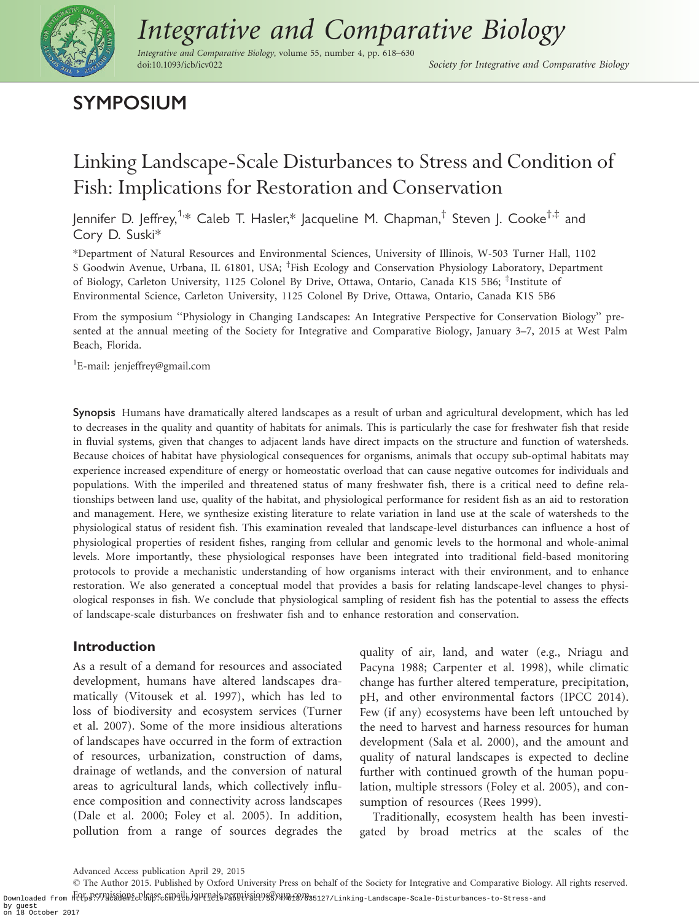

# Integrative and Comparative Biology

Integrative and Comparative Biology, volume 55, number 4, pp. 618–630 doi:10.1093/icb/icv022 Society for Integrative and Comparative Biology

# SYMPOSIUM

# Linking Landscape-Scale Disturbances to Stress and Condition of Fish: Implications for Restoration and Conservation

Jennifer D. Jeffrey,<sup>1,\*</sup> Caleb T. Hasler,\* Jacqueline M. Chapman,<sup>†</sup> Steven J. Cooke<sup>†,‡</sup> and Cory D. Suski\*

\*Department of Natural Resources and Environmental Sciences, University of Illinois, W-503 Turner Hall, 1102 S Goodwin Avenue, Urbana, IL 61801, USA; <sup>†</sup>Fish Ecology and Conservation Physiology Laboratory, Department of Biology, Carleton University, 1125 Colonel By Drive, Ottawa, Ontario, Canada K1S 5B6; <sup>‡</sup>Institute of Environmental Science, Carleton University, 1125 Colonel By Drive, Ottawa, Ontario, Canada K1S 5B6

From the symposium ''Physiology in Changing Landscapes: An Integrative Perspective for Conservation Biology'' presented at the annual meeting of the Society for Integrative and Comparative Biology, January 3–7, 2015 at West Palm Beach, Florida.

<sup>1</sup>E-mail: jenjeffrey@gmail.com

Synopsis Humans have dramatically altered landscapes as a result of urban and agricultural development, which has led to decreases in the quality and quantity of habitats for animals. This is particularly the case for freshwater fish that reside in fluvial systems, given that changes to adjacent lands have direct impacts on the structure and function of watersheds. Because choices of habitat have physiological consequences for organisms, animals that occupy sub-optimal habitats may experience increased expenditure of energy or homeostatic overload that can cause negative outcomes for individuals and populations. With the imperiled and threatened status of many freshwater fish, there is a critical need to define relationships between land use, quality of the habitat, and physiological performance for resident fish as an aid to restoration and management. Here, we synthesize existing literature to relate variation in land use at the scale of watersheds to the physiological status of resident fish. This examination revealed that landscape-level disturbances can influence a host of physiological properties of resident fishes, ranging from cellular and genomic levels to the hormonal and whole-animal levels. More importantly, these physiological responses have been integrated into traditional field-based monitoring protocols to provide a mechanistic understanding of how organisms interact with their environment, and to enhance restoration. We also generated a conceptual model that provides a basis for relating landscape-level changes to physiological responses in fish. We conclude that physiological sampling of resident fish has the potential to assess the effects of landscape-scale disturbances on freshwater fish and to enhance restoration and conservation.

#### Introduction

As a result of a demand for resources and associated development, humans have altered landscapes dramatically ([Vitousek et al. 1997](#page-12-0)), which has led to loss of biodiversity and ecosystem services [\(Turner](#page-11-0) [et al. 2007](#page-11-0)). Some of the more insidious alterations of landscapes have occurred in the form of extraction of resources, urbanization, construction of dams, drainage of wetlands, and the conversion of natural areas to agricultural lands, which collectively influence composition and connectivity across landscapes [\(Dale et al. 2000; Foley et al. 2005](#page-9-0)). In addition, pollution from a range of sources degrades the

quality of air, land, and water (e.g., [Nriagu and](#page-11-0) [Pacyna 1988](#page-11-0); [Carpenter et al. 1998](#page-9-0)), while climatic change has further altered temperature, precipitation, pH, and other environmental factors ([IPCC 2014\)](#page-10-0). Few (if any) ecosystems have been left untouched by the need to harvest and harness resources for human development [\(Sala et al. 2000](#page-11-0)), and the amount and quality of natural landscapes is expected to decline further with continued growth of the human population, multiple stressors [\(Foley et al. 2005](#page-9-0)), and consumption of resources ([Rees 1999\)](#page-11-0).

Traditionally, ecosystem health has been investigated by broad metrics at the scales of the

Advanced Access publication April 29, 2015

<sup>-</sup> The Author 2015. Published by Oxford University Press on behalf of the Society for Integrative and Comparative Biology. All rights reserved. For permissions please email: journals.permissions@oup.com. Downloaded from https://academic.oup.com/icb/article-abstract/55/4/618/635127/Linking-Landscape-Scale-Disturbances-to-Stress-and by guest on 18 October 2017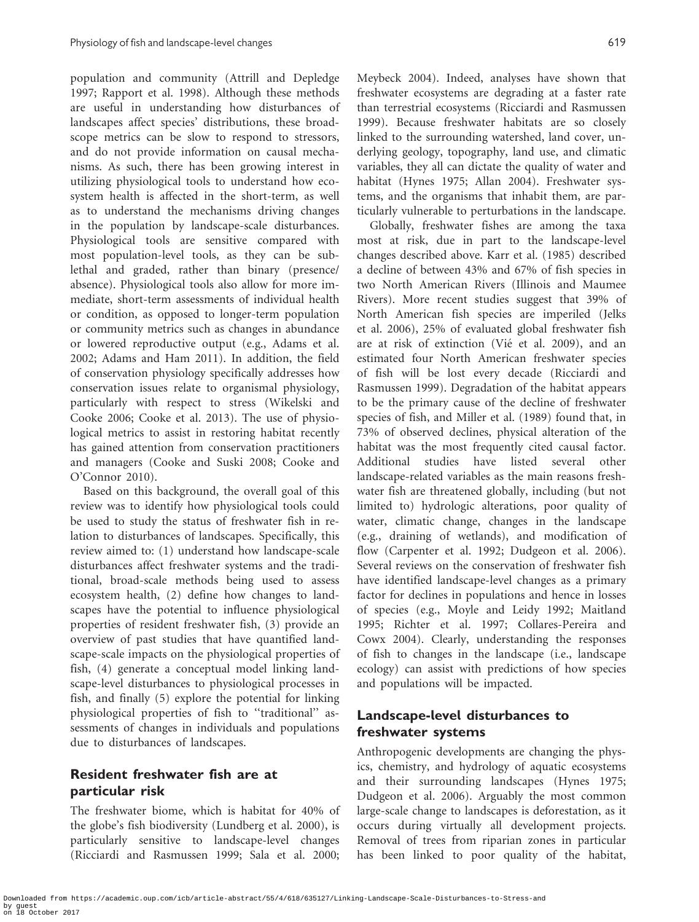population and community [\(Attrill and Depledge](#page-9-0) [1997;](#page-9-0) [Rapport et al. 1998\)](#page-11-0). Although these methods are useful in understanding how disturbances of landscapes affect species' distributions, these broadscope metrics can be slow to respond to stressors, and do not provide information on causal mechanisms. As such, there has been growing interest in utilizing physiological tools to understand how ecosystem health is affected in the short-term, as well as to understand the mechanisms driving changes in the population by landscape-scale disturbances. Physiological tools are sensitive compared with most population-level tools, as they can be sublethal and graded, rather than binary (presence/ absence). Physiological tools also allow for more immediate, short-term assessments of individual health or condition, as opposed to longer-term population or community metrics such as changes in abundance or lowered reproductive output (e.g., [Adams et al.](#page-9-0) [2002; Adams and Ham 2011\)](#page-9-0). In addition, the field of conservation physiology specifically addresses how conservation issues relate to organismal physiology, particularly with respect to stress ([Wikelski and](#page-12-0) [Cooke 2006](#page-12-0); [Cooke et al. 2013](#page-9-0)). The use of physiological metrics to assist in restoring habitat recently has gained attention from conservation practitioners and managers [\(Cooke and Suski 2008](#page-9-0); [Cooke and](#page-9-0) [O'Connor 2010](#page-9-0)).

Based on this background, the overall goal of this review was to identify how physiological tools could be used to study the status of freshwater fish in relation to disturbances of landscapes. Specifically, this review aimed to: (1) understand how landscape-scale disturbances affect freshwater systems and the traditional, broad-scale methods being used to assess ecosystem health, (2) define how changes to landscapes have the potential to influence physiological properties of resident freshwater fish, (3) provide an overview of past studies that have quantified landscape-scale impacts on the physiological properties of fish, (4) generate a conceptual model linking landscape-level disturbances to physiological processes in fish, and finally (5) explore the potential for linking physiological properties of fish to ''traditional'' assessments of changes in individuals and populations due to disturbances of landscapes.

# Resident freshwater fish are at particular risk

The freshwater biome, which is habitat for 40% of the globe's fish biodiversity ([Lundberg et al. 2000](#page-10-0)), is particularly sensitive to landscape-level changes ([Ricciardi and Rasmussen 1999](#page-11-0); [Sala et al. 2000;](#page-11-0)

[Meybeck 2004\)](#page-10-0). Indeed, analyses have shown that freshwater ecosystems are degrading at a faster rate than terrestrial ecosystems [\(Ricciardi and Rasmussen](#page-11-0) [1999](#page-11-0)). Because freshwater habitats are so closely linked to the surrounding watershed, land cover, underlying geology, topography, land use, and climatic variables, they all can dictate the quality of water and habitat ([Hynes 1975](#page-10-0); [Allan 2004\)](#page-9-0). Freshwater systems, and the organisms that inhabit them, are particularly vulnerable to perturbations in the landscape.

Globally, freshwater fishes are among the taxa most at risk, due in part to the landscape-level changes described above. [Karr et al. \(1985\)](#page-10-0) described a decline of between 43% and 67% of fish species in two North American Rivers (Illinois and Maumee Rivers). More recent studies suggest that 39% of North American fish species are imperiled ([Jelks](#page-10-0) [et al. 2006](#page-10-0)), 25% of evaluated global freshwater fish are at risk of extinction (Vié [et al. 2009\)](#page-11-0), and an estimated four North American freshwater species of fish will be lost every decade [\(Ricciardi and](#page-11-0) [Rasmussen 1999](#page-11-0)). Degradation of the habitat appears to be the primary cause of the decline of freshwater species of fish, and [Miller et al. \(1989\)](#page-10-0) found that, in 73% of observed declines, physical alteration of the habitat was the most frequently cited causal factor. Additional studies have listed several other landscape-related variables as the main reasons freshwater fish are threatened globally, including (but not limited to) hydrologic alterations, poor quality of water, climatic change, changes in the landscape (e.g., draining of wetlands), and modification of flow ([Carpenter et al. 1992; Dudgeon et al. 2006\)](#page-9-0). Several reviews on the conservation of freshwater fish have identified landscape-level changes as a primary factor for declines in populations and hence in losses of species (e.g., [Moyle and Leidy 1992;](#page-11-0) [Maitland](#page-10-0) [1995](#page-10-0); [Richter et al. 1997;](#page-11-0) [Collares-Pereira and](#page-9-0) [Cowx 2004\)](#page-9-0). Clearly, understanding the responses of fish to changes in the landscape (i.e., landscape ecology) can assist with predictions of how species and populations will be impacted.

# Landscape-level disturbances to freshwater systems

Anthropogenic developments are changing the physics, chemistry, and hydrology of aquatic ecosystems and their surrounding landscapes [\(Hynes 1975;](#page-10-0) [Dudgeon et al. 2006\)](#page-9-0). Arguably the most common large-scale change to landscapes is deforestation, as it occurs during virtually all development projects. Removal of trees from riparian zones in particular has been linked to poor quality of the habitat,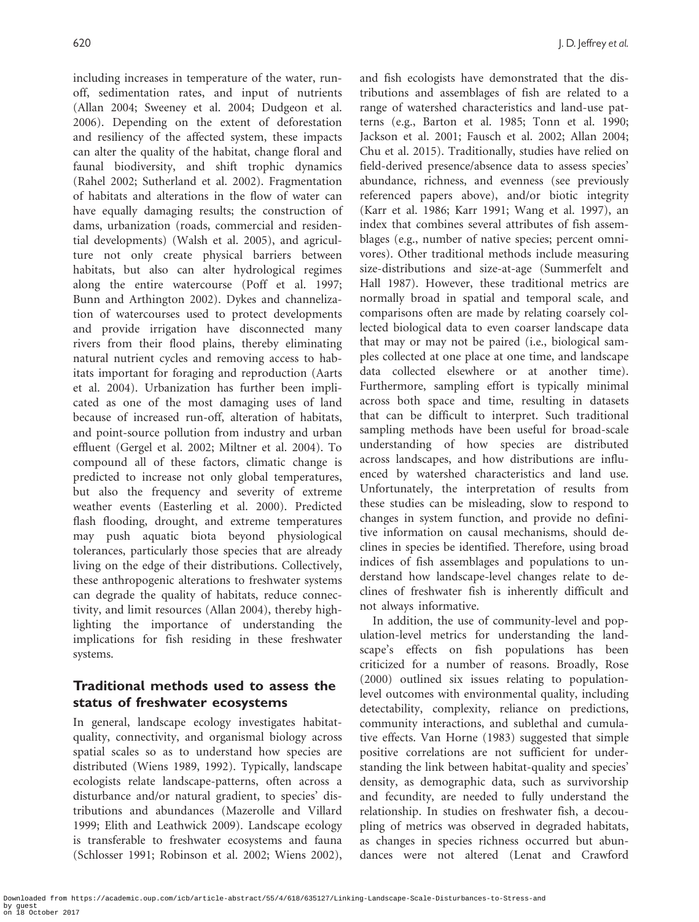including increases in temperature of the water, runoff, sedimentation rates, and input of nutrients [\(Allan 2004](#page-9-0); [Sweeney et al. 2004;](#page-11-0) [Dudgeon et al.](#page-9-0) [2006](#page-9-0)). Depending on the extent of deforestation and resiliency of the affected system, these impacts can alter the quality of the habitat, change floral and faunal biodiversity, and shift trophic dynamics [\(Rahel 2002](#page-11-0); [Sutherland et al. 2002\)](#page-11-0). Fragmentation of habitats and alterations in the flow of water can have equally damaging results; the construction of dams, urbanization (roads, commercial and residential developments) [\(Walsh et al. 2005](#page-12-0)), and agriculture not only create physical barriers between habitats, but also can alter hydrological regimes along the entire watercourse [\(Poff et al. 1997](#page-11-0); [Bunn and Arthington 2002](#page-9-0)). Dykes and channelization of watercourses used to protect developments and provide irrigation have disconnected many rivers from their flood plains, thereby eliminating natural nutrient cycles and removing access to habitats important for foraging and reproduction ([Aarts](#page-8-0) [et al. 2004\)](#page-8-0). Urbanization has further been implicated as one of the most damaging uses of land because of increased run-off, alteration of habitats, and point-source pollution from industry and urban effluent [\(Gergel et al. 2002;](#page-10-0) [Miltner et al. 2004](#page-11-0)). To compound all of these factors, climatic change is predicted to increase not only global temperatures, but also the frequency and severity of extreme weather events ([Easterling et al. 2000\)](#page-9-0). Predicted flash flooding, drought, and extreme temperatures may push aquatic biota beyond physiological tolerances, particularly those species that are already living on the edge of their distributions. Collectively, these anthropogenic alterations to freshwater systems can degrade the quality of habitats, reduce connectivity, and limit resources [\(Allan 2004\)](#page-9-0), thereby highlighting the importance of understanding the implications for fish residing in these freshwater systems.

# Traditional methods used to assess the status of freshwater ecosystems

In general, landscape ecology investigates habitatquality, connectivity, and organismal biology across spatial scales so as to understand how species are distributed [\(Wiens 1989](#page-12-0), [1992](#page-12-0)). Typically, landscape ecologists relate landscape-patterns, often across a disturbance and/or natural gradient, to species' distributions and abundances ([Mazerolle and Villard](#page-10-0) [1999](#page-10-0); [Elith and Leathwick 2009](#page-9-0)). Landscape ecology is transferable to freshwater ecosystems and fauna [\(Schlosser 1991; Robinson et al. 2002;](#page-11-0) [Wiens 2002](#page-12-0)), and fish ecologists have demonstrated that the distributions and assemblages of fish are related to a range of watershed characteristics and land-use patterns (e.g., [Barton et al. 1985](#page-9-0); [Tonn et al. 1990;](#page-11-0) [Jackson et al. 2001;](#page-10-0) [Fausch et al. 2002; Allan 2004;](#page-9-0) [Chu et al. 2015](#page-9-0)). Traditionally, studies have relied on field-derived presence/absence data to assess species' abundance, richness, and evenness (see previously referenced papers above), and/or biotic integrity ([Karr et al. 1986; Karr 1991](#page-10-0); [Wang et al. 1997](#page-12-0)), an index that combines several attributes of fish assemblages (e.g., number of native species; percent omnivores). Other traditional methods include measuring size-distributions and size-at-age ([Summerfelt and](#page-11-0) [Hall 1987](#page-11-0)). However, these traditional metrics are normally broad in spatial and temporal scale, and comparisons often are made by relating coarsely collected biological data to even coarser landscape data that may or may not be paired (i.e., biological samples collected at one place at one time, and landscape data collected elsewhere or at another time). Furthermore, sampling effort is typically minimal across both space and time, resulting in datasets that can be difficult to interpret. Such traditional sampling methods have been useful for broad-scale understanding of how species are distributed across landscapes, and how distributions are influenced by watershed characteristics and land use. Unfortunately, the interpretation of results from these studies can be misleading, slow to respond to changes in system function, and provide no definitive information on causal mechanisms, should declines in species be identified. Therefore, using broad indices of fish assemblages and populations to understand how landscape-level changes relate to declines of freshwater fish is inherently difficult and not always informative.

In addition, the use of community-level and population-level metrics for understanding the landscape's effects on fish populations has been criticized for a number of reasons. Broadly, [Rose](#page-11-0) [\(2000\)](#page-11-0) outlined six issues relating to populationlevel outcomes with environmental quality, including detectability, complexity, reliance on predictions, community interactions, and sublethal and cumulative effects. [Van Horne \(1983\)](#page-11-0) suggested that simple positive correlations are not sufficient for understanding the link between habitat-quality and species' density, as demographic data, such as survivorship and fecundity, are needed to fully understand the relationship. In studies on freshwater fish, a decoupling of metrics was observed in degraded habitats, as changes in species richness occurred but abundances were not altered ([Lenat and Crawford](#page-10-0)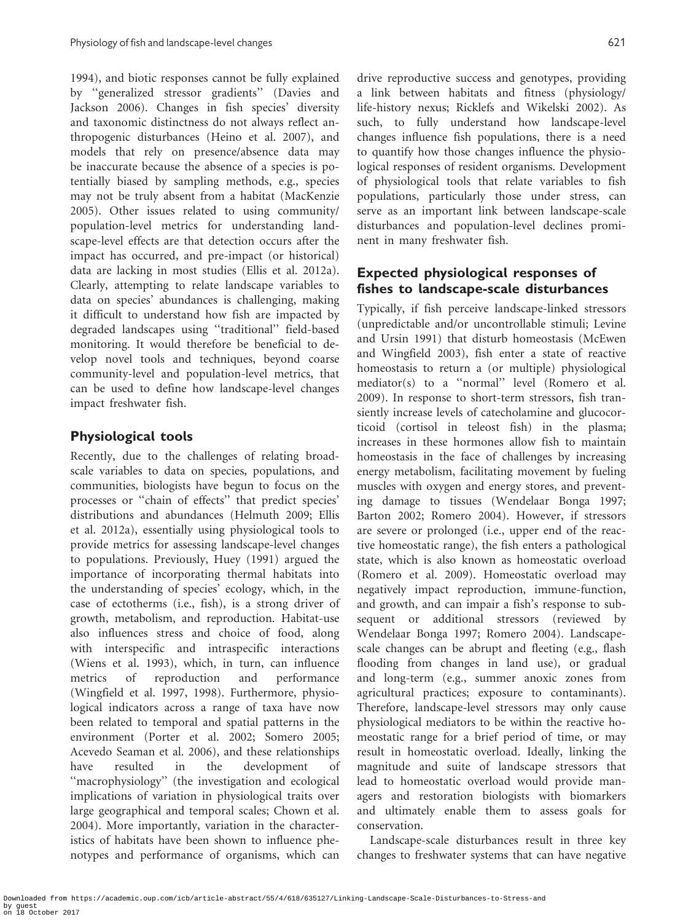[1994\)](#page-10-0), and biotic responses cannot be fully explained by ''generalized stressor gradients'' [\(Davies and](#page-9-0) [Jackson 2006](#page-9-0)). Changes in fish species' diversity and taxonomic distinctness do not always reflect anthropogenic disturbances [\(Heino et al. 2007](#page-10-0)), and models that rely on presence/absence data may be inaccurate because the absence of a species is potentially biased by sampling methods, e.g., species may not be truly absent from a habitat ([MacKenzie](#page-10-0) [2005\)](#page-10-0). Other issues related to using community/ population-level metrics for understanding landscape-level effects are that detection occurs after the impact has occurred, and pre-impact (or historical) data are lacking in most studies [\(Ellis et al. 2012a](#page-9-0)). Clearly, attempting to relate landscape variables to data on species' abundances is challenging, making it difficult to understand how fish are impacted by degraded landscapes using ''traditional'' field-based monitoring. It would therefore be beneficial to develop novel tools and techniques, beyond coarse community-level and population-level metrics, that can be used to define how landscape-level changes impact freshwater fish.

# Physiological tools

Recently, due to the challenges of relating broadscale variables to data on species, populations, and communities, biologists have begun to focus on the processes or ''chain of effects'' that predict species' distributions and abundances [\(Helmuth 2009;](#page-10-0) [Ellis](#page-9-0) [et al. 2012a\)](#page-9-0), essentially using physiological tools to provide metrics for assessing landscape-level changes to populations. Previously, [Huey \(1991\)](#page-10-0) argued the importance of incorporating thermal habitats into the understanding of species' ecology, which, in the case of ectotherms (i.e., fish), is a strong driver of growth, metabolism, and reproduction. Habitat-use also influences stress and choice of food, along with interspecific and intraspecific interactions ([Wiens et al. 1993\)](#page-12-0), which, in turn, can influence metrics of reproduction and performance ([Wingfield et al. 1997, 1998](#page-12-0)). Furthermore, physiological indicators across a range of taxa have now been related to temporal and spatial patterns in the environment [\(Porter et al. 2002](#page-11-0); [Somero 2005;](#page-11-0) [Acevedo Seaman et al. 2006](#page-8-0)), and these relationships have resulted in the development of "macrophysiology" (the investigation and ecological implications of variation in physiological traits over large geographical and temporal scales; [Chown et al.](#page-9-0) [2004\)](#page-9-0). More importantly, variation in the characteristics of habitats have been shown to influence phenotypes and performance of organisms, which can

drive reproductive success and genotypes, providing a link between habitats and fitness (physiology/ life-history nexus; [Ricklefs and Wikelski 2002](#page-11-0)). As such, to fully understand how landscape-level changes influence fish populations, there is a need to quantify how those changes influence the physiological responses of resident organisms. Development of physiological tools that relate variables to fish populations, particularly those under stress, can serve as an important link between landscape-scale disturbances and population-level declines promi-

# Expected physiological responses of fishes to landscape-scale disturbances

nent in many freshwater fish.

Typically, if fish perceive landscape-linked stressors (unpredictable and/or uncontrollable stimuli; [Levine](#page-10-0) [and Ursin 1991\)](#page-10-0) that disturb homeostasis [\(McEwen](#page-10-0) [and Wingfield 2003\)](#page-10-0), fish enter a state of reactive homeostasis to return a (or multiple) physiological mediator(s) to a ''normal'' level [\(Romero et al.](#page-11-0) [2009](#page-11-0)). In response to short-term stressors, fish transiently increase levels of catecholamine and glucocorticoid (cortisol in teleost fish) in the plasma; increases in these hormones allow fish to maintain homeostasis in the face of challenges by increasing energy metabolism, facilitating movement by fueling muscles with oxygen and energy stores, and preventing damage to tissues [\(Wendelaar Bonga 1997;](#page-12-0) [Barton 2002](#page-9-0); [Romero 2004](#page-11-0)). However, if stressors are severe or prolonged (i.e., upper end of the reactive homeostatic range), the fish enters a pathological state, which is also known as homeostatic overload [\(Romero et al. 2009](#page-11-0)). Homeostatic overload may negatively impact reproduction, immune-function, and growth, and can impair a fish's response to subsequent or additional stressors (reviewed by [Wendelaar Bonga 1997;](#page-12-0) [Romero 2004\)](#page-11-0). Landscapescale changes can be abrupt and fleeting (e.g., flash flooding from changes in land use), or gradual and long-term (e.g., summer anoxic zones from agricultural practices; exposure to contaminants). Therefore, landscape-level stressors may only cause physiological mediators to be within the reactive homeostatic range for a brief period of time, or may result in homeostatic overload. Ideally, linking the magnitude and suite of landscape stressors that lead to homeostatic overload would provide managers and restoration biologists with biomarkers and ultimately enable them to assess goals for conservation.

Landscape-scale disturbances result in three key changes to freshwater systems that can have negative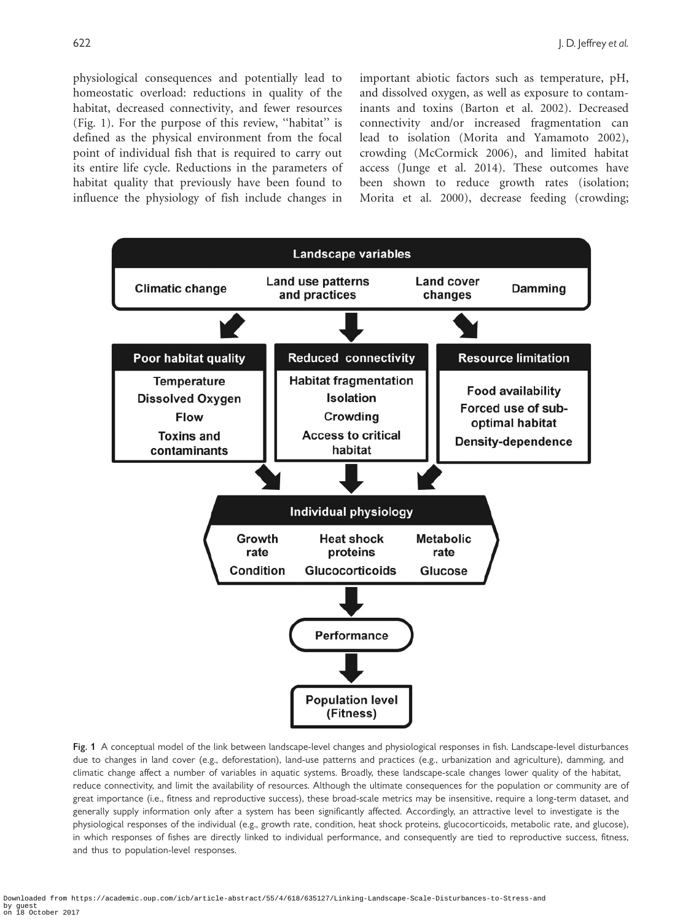physiological consequences and potentially lead to homeostatic overload: reductions in quality of the habitat, decreased connectivity, and fewer resources (Fig. 1). For the purpose of this review, ''habitat'' is defined as the physical environment from the focal point of individual fish that is required to carry out its entire life cycle. Reductions in the parameters of habitat quality that previously have been found to influence the physiology of fish include changes in

important abiotic factors such as temperature, pH, and dissolved oxygen, as well as exposure to contaminants and toxins ([Barton et al. 2002](#page-9-0)). Decreased connectivity and/or increased fragmentation can lead to isolation ([Morita and Yamamoto 2002\)](#page-11-0), crowding ([McCormick 2006](#page-10-0)), and limited habitat access [\(Junge et al. 2014](#page-10-0)). These outcomes have been shown to reduce growth rates (isolation; [Morita et al. 2000](#page-11-0)), decrease feeding (crowding;



Fig. 1 A conceptual model of the link between landscape-level changes and physiological responses in fish. Landscape-level disturbances due to changes in land cover (e.g., deforestation), land-use patterns and practices (e.g., urbanization and agriculture), damming, and climatic change affect a number of variables in aquatic systems. Broadly, these landscape-scale changes lower quality of the habitat, reduce connectivity, and limit the availability of resources. Although the ultimate consequences for the population or community are of great importance (i.e., fitness and reproductive success), these broad-scale metrics may be insensitive, require a long-term dataset, and generally supply information only after a system has been significantly affected. Accordingly, an attractive level to investigate is the physiological responses of the individual (e.g., growth rate, condition, heat shock proteins, glucocorticoids, metabolic rate, and glucose), in which responses of fishes are directly linked to individual performance, and consequently are tied to reproductive success, fitness, and thus to population-level responses.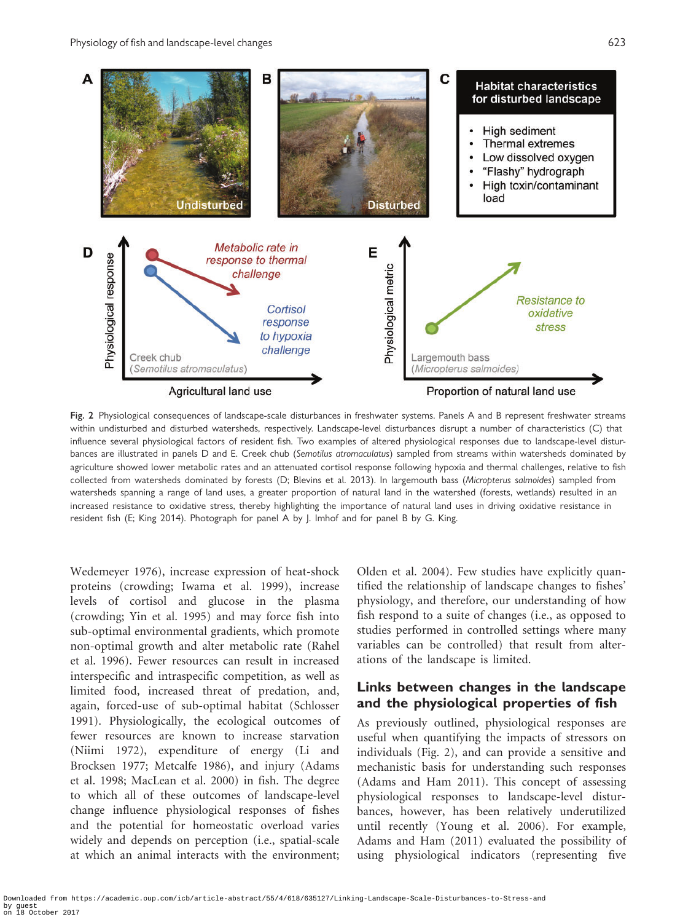<span id="page-5-0"></span>

Fig. 2 Physiological consequences of landscape-scale disturbances in freshwater systems. Panels A and B represent freshwater streams within undisturbed and disturbed watersheds, respectively. Landscape-level disturbances disrupt a number of characteristics (C) that influence several physiological factors of resident fish. Two examples of altered physiological responses due to landscape-level disturbances are illustrated in panels D and E. Creek chub (Semotilus atromaculatus) sampled from streams within watersheds dominated by agriculture showed lower metabolic rates and an attenuated cortisol response following hypoxia and thermal challenges, relative to fish collected from watersheds dominated by forests (D; [Blevins et al. 2013\)](#page-9-0). In largemouth bass (Micropterus salmoides) sampled from watersheds spanning a range of land uses, a greater proportion of natural land in the watershed (forests, wetlands) resulted in an increased resistance to oxidative stress, thereby highlighting the importance of natural land uses in driving oxidative resistance in resident fish (E; [King 2014\)](#page-10-0). Photograph for panel A by J. Imhof and for panel B by G. King.

[Wedemeyer 1976\)](#page-12-0), increase expression of heat-shock proteins (crowding; [Iwama et al. 1999](#page-10-0)), increase levels of cortisol and glucose in the plasma (crowding; [Yin et al. 1995](#page-12-0)) and may force fish into sub-optimal environmental gradients, which promote non-optimal growth and alter metabolic rate ([Rahel](#page-11-0) [et al. 1996\)](#page-11-0). Fewer resources can result in increased interspecific and intraspecific competition, as well as limited food, increased threat of predation, and, again, forced-use of sub-optimal habitat ([Schlosser](#page-11-0) [1991\)](#page-11-0). Physiologically, the ecological outcomes of fewer resources are known to increase starvation ([Niimi 1972](#page-11-0)), expenditure of energy [\(Li and](#page-10-0) [Brocksen 1977; Metcalfe 1986](#page-10-0)), and injury [\(Adams](#page-8-0) [et al. 1998](#page-8-0); [MacLean et al. 2000](#page-10-0)) in fish. The degree to which all of these outcomes of landscape-level change influence physiological responses of fishes and the potential for homeostatic overload varies widely and depends on perception (i.e., spatial-scale at which an animal interacts with the environment;

[Olden et al. 2004](#page-11-0)). Few studies have explicitly quantified the relationship of landscape changes to fishes' physiology, and therefore, our understanding of how fish respond to a suite of changes (i.e., as opposed to studies performed in controlled settings where many variables can be controlled) that result from alterations of the landscape is limited.

## Links between changes in the landscape and the physiological properties of fish

As previously outlined, physiological responses are useful when quantifying the impacts of stressors on individuals (Fig. 2), and can provide a sensitive and mechanistic basis for understanding such responses [\(Adams and Ham 2011\)](#page-9-0). This concept of assessing physiological responses to landscape-level disturbances, however, has been relatively underutilized until recently [\(Young et al. 2006\)](#page-12-0). For example, [Adams and Ham \(2011\)](#page-9-0) evaluated the possibility of using physiological indicators (representing five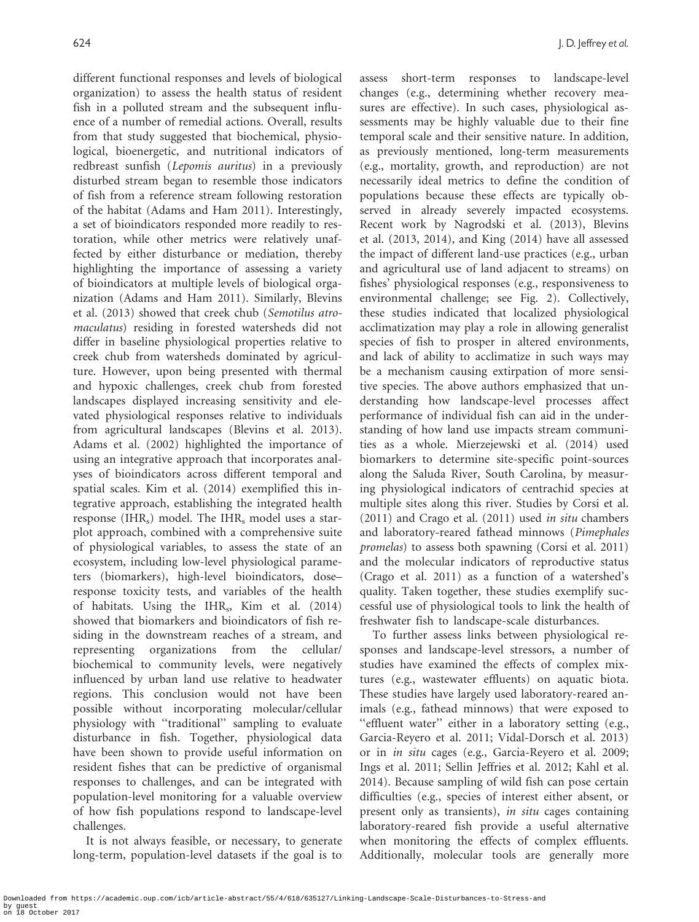different functional responses and levels of biological organization) to assess the health status of resident fish in a polluted stream and the subsequent influence of a number of remedial actions. Overall, results from that study suggested that biochemical, physiological, bioenergetic, and nutritional indicators of redbreast sunfish (Lepomis auritus) in a previously disturbed stream began to resemble those indicators of fish from a reference stream following restoration of the habitat [\(Adams and Ham 2011\)](#page-9-0). Interestingly, a set of bioindicators responded more readily to restoration, while other metrics were relatively unaffected by either disturbance or mediation, thereby highlighting the importance of assessing a variety of bioindicators at multiple levels of biological organization [\(Adams and Ham 2011](#page-9-0)). Similarly, [Blevins](#page-9-0) [et al. \(2013\)](#page-9-0) showed that creek chub (Semotilus atromaculatus) residing in forested watersheds did not differ in baseline physiological properties relative to creek chub from watersheds dominated by agriculture. However, upon being presented with thermal and hypoxic challenges, creek chub from forested landscapes displayed increasing sensitivity and elevated physiological responses relative to individuals from agricultural landscapes [\(Blevins et al. 2013](#page-9-0)). [Adams et al. \(2002\)](#page-9-0) highlighted the importance of using an integrative approach that incorporates analyses of bioindicators across different temporal and spatial scales. [Kim et al. \(2014\)](#page-10-0) exemplified this integrative approach, establishing the integrated health response (IHR<sub>s</sub>) model. The IHR<sub>s</sub> model uses a starplot approach, combined with a comprehensive suite of physiological variables, to assess the state of an ecosystem, including low-level physiological parameters (biomarkers), high-level bioindicators, dose– response toxicity tests, and variables of the health of habitats. Using the IHRs, [Kim et al. \(2014\)](#page-10-0) showed that biomarkers and bioindicators of fish residing in the downstream reaches of a stream, and representing organizations from the cellular/ biochemical to community levels, were negatively influenced by urban land use relative to headwater regions. This conclusion would not have been possible without incorporating molecular/cellular physiology with ''traditional'' sampling to evaluate disturbance in fish. Together, physiological data have been shown to provide useful information on resident fishes that can be predictive of organismal responses to challenges, and can be integrated with population-level monitoring for a valuable overview of how fish populations respond to landscape-level challenges.

It is not always feasible, or necessary, to generate long-term, population-level datasets if the goal is to

assess short-term responses to landscape-level changes (e.g., determining whether recovery measures are effective). In such cases, physiological assessments may be highly valuable due to their fine temporal scale and their sensitive nature. In addition, as previously mentioned, long-term measurements (e.g., mortality, growth, and reproduction) are not necessarily ideal metrics to define the condition of populations because these effects are typically observed in already severely impacted ecosystems. Recent work by [Nagrodski et al. \(2013\),](#page-11-0) [Blevins](#page-9-0) [et al. \(2013](#page-9-0), [2014\)](#page-9-0), and [King \(2014\)](#page-10-0) have all assessed the impact of different land-use practices (e.g., urban and agricultural use of land adjacent to streams) on fishes' physiological responses (e.g., responsiveness to environmental challenge; see [Fig. 2\)](#page-5-0). Collectively, these studies indicated that localized physiological acclimatization may play a role in allowing generalist species of fish to prosper in altered environments, and lack of ability to acclimatize in such ways may be a mechanism causing extirpation of more sensitive species. The above authors emphasized that understanding how landscape-level processes affect performance of individual fish can aid in the understanding of how land use impacts stream communities as a whole. [Mierzejewski et al. \(2014\)](#page-10-0) used biomarkers to determine site-specific point-sources along the Saluda River, South Carolina, by measuring physiological indicators of centrachid species at multiple sites along this river. Studies by [Corsi et al.](#page-9-0) [\(2011\)](#page-9-0) and [Crago et al. \(2011\)](#page-9-0) used in situ chambers and laboratory-reared fathead minnows (Pimephales promelas) to assess both spawning ([Corsi et al. 2011](#page-9-0)) and the molecular indicators of reproductive status ([Crago et al. 2011](#page-9-0)) as a function of a watershed's quality. Taken together, these studies exemplify successful use of physiological tools to link the health of freshwater fish to landscape-scale disturbances.

To further assess links between physiological responses and landscape-level stressors, a number of studies have examined the effects of complex mixtures (e.g., wastewater effluents) on aquatic biota. These studies have largely used laboratory-reared animals (e.g., fathead minnows) that were exposed to "effluent water" either in a laboratory setting (e.g., [Garcia-Reyero et al. 2011](#page-9-0); [Vidal-Dorsch et al. 2013](#page-11-0)) or in in situ cages (e.g., [Garcia-Reyero et al. 2009;](#page-9-0) [Ings et al. 2011](#page-10-0); [Sellin Jeffries et al. 2012](#page-11-0); [Kahl et al.](#page-10-0) [2014\)](#page-10-0). Because sampling of wild fish can pose certain difficulties (e.g., species of interest either absent, or present only as transients), in situ cages containing laboratory-reared fish provide a useful alternative when monitoring the effects of complex effluents. Additionally, molecular tools are generally more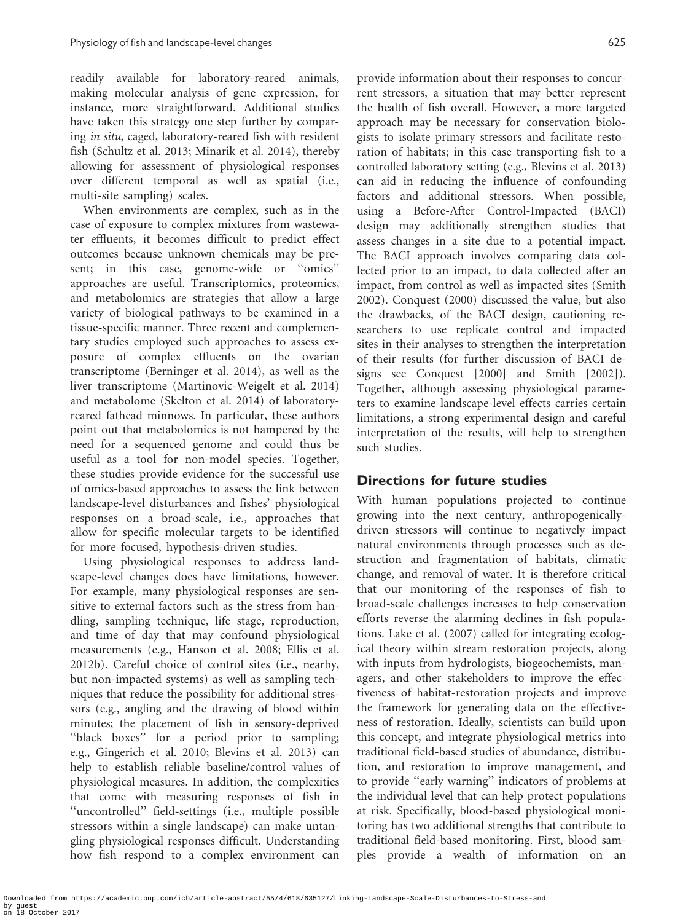readily available for laboratory-reared animals, making molecular analysis of gene expression, for instance, more straightforward. Additional studies have taken this strategy one step further by comparing in situ, caged, laboratory-reared fish with resident fish [\(Schultz et al. 2013](#page-11-0); [Minarik et al. 2014](#page-11-0)), thereby allowing for assessment of physiological responses over different temporal as well as spatial (i.e., multi-site sampling) scales.

When environments are complex, such as in the case of exposure to complex mixtures from wastewater effluents, it becomes difficult to predict effect outcomes because unknown chemicals may be present; in this case, genome-wide or ''omics'' approaches are useful. Transcriptomics, proteomics, and metabolomics are strategies that allow a large variety of biological pathways to be examined in a tissue-specific manner. Three recent and complementary studies employed such approaches to assess exposure of complex effluents on the ovarian transcriptome [\(Berninger et al. 2014\)](#page-9-0), as well as the liver transcriptome ([Martinovic-Weigelt et al. 2014](#page-10-0)) and metabolome ([Skelton et al. 2014\)](#page-11-0) of laboratoryreared fathead minnows. In particular, these authors point out that metabolomics is not hampered by the need for a sequenced genome and could thus be useful as a tool for non-model species. Together, these studies provide evidence for the successful use of omics-based approaches to assess the link between landscape-level disturbances and fishes' physiological responses on a broad-scale, i.e., approaches that allow for specific molecular targets to be identified for more focused, hypothesis-driven studies.

Using physiological responses to address landscape-level changes does have limitations, however. For example, many physiological responses are sensitive to external factors such as the stress from handling, sampling technique, life stage, reproduction, and time of day that may confound physiological measurements (e.g., [Hanson et al. 2008](#page-10-0); [Ellis et al.](#page-9-0) [2012b](#page-9-0)). Careful choice of control sites (i.e., nearby, but non-impacted systems) as well as sampling techniques that reduce the possibility for additional stressors (e.g., angling and the drawing of blood within minutes; the placement of fish in sensory-deprived ''black boxes'' for a period prior to sampling; e.g., [Gingerich et al. 2010](#page-10-0); [Blevins et al. 2013\)](#page-9-0) can help to establish reliable baseline/control values of physiological measures. In addition, the complexities that come with measuring responses of fish in ''uncontrolled'' field-settings (i.e., multiple possible stressors within a single landscape) can make untangling physiological responses difficult. Understanding how fish respond to a complex environment can

provide information about their responses to concurrent stressors, a situation that may better represent the health of fish overall. However, a more targeted approach may be necessary for conservation biologists to isolate primary stressors and facilitate restoration of habitats; in this case transporting fish to a controlled laboratory setting (e.g., [Blevins et al. 2013](#page-9-0)) can aid in reducing the influence of confounding factors and additional stressors. When possible, using a Before-After Control-Impacted (BACI) design may additionally strengthen studies that assess changes in a site due to a potential impact. The BACI approach involves comparing data collected prior to an impact, to data collected after an impact, from control as well as impacted sites ([Smith](#page-11-0) [2002](#page-11-0)). [Conquest \(2000\)](#page-9-0) discussed the value, but also the drawbacks, of the BACI design, cautioning researchers to use replicate control and impacted sites in their analyses to strengthen the interpretation of their results (for further discussion of BACI designs see [Conquest \[2000\]](#page-9-0) and [Smith \[2002\]\)](#page-11-0). Together, although assessing physiological parameters to examine landscape-level effects carries certain limitations, a strong experimental design and careful interpretation of the results, will help to strengthen such studies.

#### Directions for future studies

With human populations projected to continue growing into the next century, anthropogenicallydriven stressors will continue to negatively impact natural environments through processes such as destruction and fragmentation of habitats, climatic change, and removal of water. It is therefore critical that our monitoring of the responses of fish to broad-scale challenges increases to help conservation efforts reverse the alarming declines in fish populations. [Lake et al. \(2007\)](#page-10-0) called for integrating ecological theory within stream restoration projects, along with inputs from hydrologists, biogeochemists, managers, and other stakeholders to improve the effectiveness of habitat-restoration projects and improve the framework for generating data on the effectiveness of restoration. Ideally, scientists can build upon this concept, and integrate physiological metrics into traditional field-based studies of abundance, distribution, and restoration to improve management, and to provide ''early warning'' indicators of problems at the individual level that can help protect populations at risk. Specifically, blood-based physiological monitoring has two additional strengths that contribute to traditional field-based monitoring. First, blood samples provide a wealth of information on an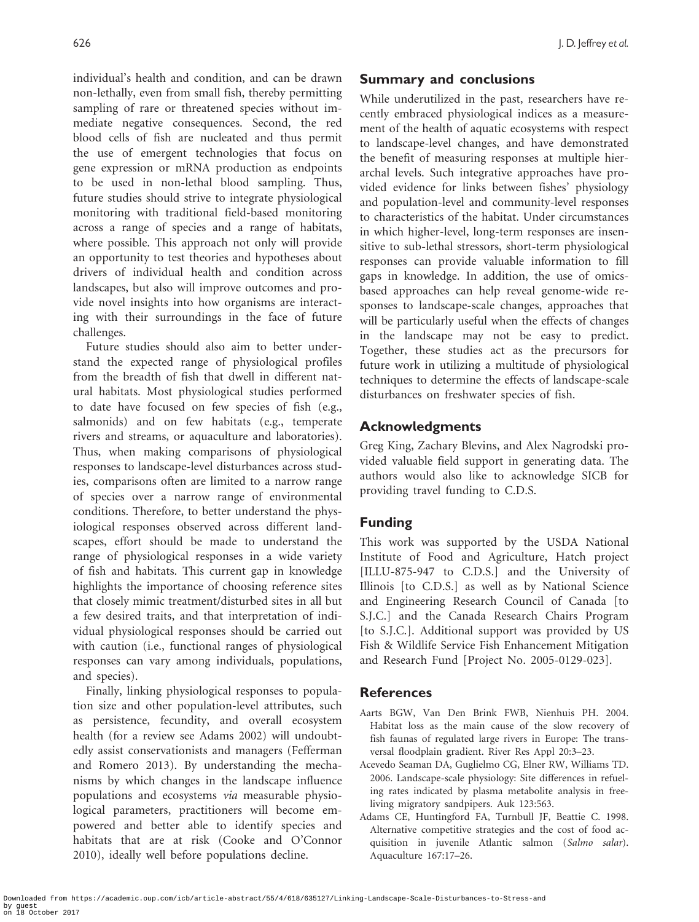<span id="page-8-0"></span>individual's health and condition, and can be drawn non-lethally, even from small fish, thereby permitting sampling of rare or threatened species without immediate negative consequences. Second, the red blood cells of fish are nucleated and thus permit the use of emergent technologies that focus on gene expression or mRNA production as endpoints to be used in non-lethal blood sampling. Thus, future studies should strive to integrate physiological monitoring with traditional field-based monitoring across a range of species and a range of habitats, where possible. This approach not only will provide an opportunity to test theories and hypotheses about drivers of individual health and condition across landscapes, but also will improve outcomes and provide novel insights into how organisms are interacting with their surroundings in the face of future challenges.

Future studies should also aim to better understand the expected range of physiological profiles from the breadth of fish that dwell in different natural habitats. Most physiological studies performed to date have focused on few species of fish (e.g., salmonids) and on few habitats (e.g., temperate rivers and streams, or aquaculture and laboratories). Thus, when making comparisons of physiological responses to landscape-level disturbances across studies, comparisons often are limited to a narrow range of species over a narrow range of environmental conditions. Therefore, to better understand the physiological responses observed across different landscapes, effort should be made to understand the range of physiological responses in a wide variety of fish and habitats. This current gap in knowledge highlights the importance of choosing reference sites that closely mimic treatment/disturbed sites in all but a few desired traits, and that interpretation of individual physiological responses should be carried out with caution (i.e., functional ranges of physiological responses can vary among individuals, populations, and species).

Finally, linking physiological responses to population size and other population-level attributes, such as persistence, fecundity, and overall ecosystem health (for a review see [Adams 2002\)](#page-9-0) will undoubtedly assist conservationists and managers ([Fefferman](#page-9-0) [and Romero 2013](#page-9-0)). By understanding the mechanisms by which changes in the landscape influence populations and ecosystems via measurable physiological parameters, practitioners will become empowered and better able to identify species and habitats that are at risk [\(Cooke and O'Connor](#page-9-0) [2010](#page-9-0)), ideally well before populations decline.

### Summary and conclusions

While underutilized in the past, researchers have recently embraced physiological indices as a measurement of the health of aquatic ecosystems with respect to landscape-level changes, and have demonstrated the benefit of measuring responses at multiple hierarchal levels. Such integrative approaches have provided evidence for links between fishes' physiology and population-level and community-level responses to characteristics of the habitat. Under circumstances in which higher-level, long-term responses are insensitive to sub-lethal stressors, short-term physiological responses can provide valuable information to fill gaps in knowledge. In addition, the use of omicsbased approaches can help reveal genome-wide responses to landscape-scale changes, approaches that will be particularly useful when the effects of changes in the landscape may not be easy to predict. Together, these studies act as the precursors for future work in utilizing a multitude of physiological techniques to determine the effects of landscape-scale disturbances on freshwater species of fish.

## Acknowledgments

Greg King, Zachary Blevins, and Alex Nagrodski provided valuable field support in generating data. The authors would also like to acknowledge SICB for providing travel funding to C.D.S.

#### Funding

This work was supported by the USDA National Institute of Food and Agriculture, Hatch project [ILLU-875-947 to C.D.S.] and the University of Illinois [to C.D.S.] as well as by National Science and Engineering Research Council of Canada [to S.J.C.] and the Canada Research Chairs Program [to S.J.C.]. Additional support was provided by US Fish & Wildlife Service Fish Enhancement Mitigation and Research Fund [Project No. 2005-0129-023].

#### References

- Aarts BGW, Van Den Brink FWB, Nienhuis PH. 2004. Habitat loss as the main cause of the slow recovery of fish faunas of regulated large rivers in Europe: The transversal floodplain gradient. River Res Appl 20:3–23.
- Acevedo Seaman DA, Guglielmo CG, Elner RW, Williams TD. 2006. Landscape-scale physiology: Site differences in refueling rates indicated by plasma metabolite analysis in freeliving migratory sandpipers. Auk 123:563.
- Adams CE, Huntingford FA, Turnbull JF, Beattie C. 1998. Alternative competitive strategies and the cost of food acquisition in juvenile Atlantic salmon (Salmo salar). Aquaculture 167:17–26.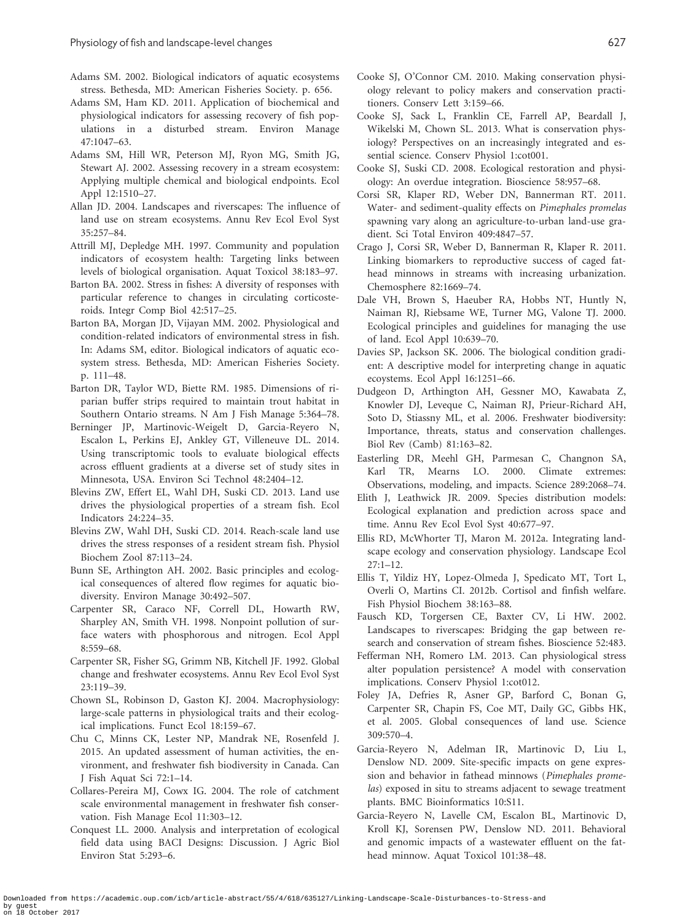- <span id="page-9-0"></span>Adams SM. 2002. Biological indicators of aquatic ecosystems stress. Bethesda, MD: American Fisheries Society. p. 656.
- Adams SM, Ham KD. 2011. Application of biochemical and physiological indicators for assessing recovery of fish populations in a disturbed stream. Environ Manage 47:1047–63.
- Adams SM, Hill WR, Peterson MJ, Ryon MG, Smith JG, Stewart AJ. 2002. Assessing recovery in a stream ecosystem: Applying multiple chemical and biological endpoints. Ecol Appl 12:1510–27.
- Allan JD. 2004. Landscapes and riverscapes: The influence of land use on stream ecosystems. Annu Rev Ecol Evol Syst 35:257–84.
- Attrill MJ, Depledge MH. 1997. Community and population indicators of ecosystem health: Targeting links between levels of biological organisation. Aquat Toxicol 38:183–97.
- Barton BA. 2002. Stress in fishes: A diversity of responses with particular reference to changes in circulating corticosteroids. Integr Comp Biol 42:517–25.
- Barton BA, Morgan JD, Vijayan MM. 2002. Physiological and condition-related indicators of environmental stress in fish. In: Adams SM, editor. Biological indicators of aquatic ecosystem stress. Bethesda, MD: American Fisheries Society. p. 111–48.
- Barton DR, Taylor WD, Biette RM. 1985. Dimensions of riparian buffer strips required to maintain trout habitat in Southern Ontario streams. N Am J Fish Manage 5:364–78.
- Berninger JP, Martinovic-Weigelt D, Garcia-Reyero N, Escalon L, Perkins EJ, Ankley GT, Villeneuve DL. 2014. Using transcriptomic tools to evaluate biological effects across effluent gradients at a diverse set of study sites in Minnesota, USA. Environ Sci Technol 48:2404–12.
- Blevins ZW, Effert EL, Wahl DH, Suski CD. 2013. Land use drives the physiological properties of a stream fish. Ecol Indicators 24:224–35.
- Blevins ZW, Wahl DH, Suski CD. 2014. Reach-scale land use drives the stress responses of a resident stream fish. Physiol Biochem Zool 87:113–24.
- Bunn SE, Arthington AH. 2002. Basic principles and ecological consequences of altered flow regimes for aquatic biodiversity. Environ Manage 30:492–507.
- Carpenter SR, Caraco NF, Correll DL, Howarth RW, Sharpley AN, Smith VH. 1998. Nonpoint pollution of surface waters with phosphorous and nitrogen. Ecol Appl 8:559–68.
- Carpenter SR, Fisher SG, Grimm NB, Kitchell JF. 1992. Global change and freshwater ecosystems. Annu Rev Ecol Evol Syst 23:119–39.
- Chown SL, Robinson D, Gaston KJ. 2004. Macrophysiology: large-scale patterns in physiological traits and their ecological implications. Funct Ecol 18:159–67.
- Chu C, Minns CK, Lester NP, Mandrak NE, Rosenfeld J. 2015. An updated assessment of human activities, the environment, and freshwater fish biodiversity in Canada. Can J Fish Aquat Sci 72:1–14.
- Collares-Pereira MJ, Cowx IG. 2004. The role of catchment scale environmental management in freshwater fish conservation. Fish Manage Ecol 11:303–12.
- Conquest LL. 2000. Analysis and interpretation of ecological field data using BACI Designs: Discussion. J Agric Biol Environ Stat 5:293–6.
- Cooke SJ, O'Connor CM. 2010. Making conservation physiology relevant to policy makers and conservation practitioners. Conserv Lett 3:159–66.
- Cooke SJ, Sack L, Franklin CE, Farrell AP, Beardall J, Wikelski M, Chown SL. 2013. What is conservation physiology? Perspectives on an increasingly integrated and essential science. Conserv Physiol 1:cot001.
- Cooke SJ, Suski CD. 2008. Ecological restoration and physiology: An overdue integration. Bioscience 58:957–68.
- Corsi SR, Klaper RD, Weber DN, Bannerman RT. 2011. Water- and sediment-quality effects on Pimephales promelas spawning vary along an agriculture-to-urban land-use gradient. Sci Total Environ 409:4847–57.
- Crago J, Corsi SR, Weber D, Bannerman R, Klaper R. 2011. Linking biomarkers to reproductive success of caged fathead minnows in streams with increasing urbanization. Chemosphere 82:1669–74.
- Dale VH, Brown S, Haeuber RA, Hobbs NT, Huntly N, Naiman RJ, Riebsame WE, Turner MG, Valone TJ. 2000. Ecological principles and guidelines for managing the use of land. Ecol Appl 10:639–70.
- Davies SP, Jackson SK. 2006. The biological condition gradient: A descriptive model for interpreting change in aquatic ecoystems. Ecol Appl 16:1251–66.
- Dudgeon D, Arthington AH, Gessner MO, Kawabata Z, Knowler DJ, Leveque C, Naiman RJ, Prieur-Richard AH, Soto D, Stiassny ML, et al. 2006. Freshwater biodiversity: Importance, threats, status and conservation challenges. Biol Rev (Camb) 81:163–82.
- Easterling DR, Meehl GH, Parmesan C, Changnon SA, Karl TR, Mearns LO. 2000. Climate extremes: Observations, modeling, and impacts. Science 289:2068–74.
- Elith J, Leathwick JR. 2009. Species distribution models: Ecological explanation and prediction across space and time. Annu Rev Ecol Evol Syst 40:677–97.
- Ellis RD, McWhorter TJ, Maron M. 2012a. Integrating landscape ecology and conservation physiology. Landscape Ecol 27:1–12.
- Ellis T, Yildiz HY, Lopez-Olmeda J, Spedicato MT, Tort L, Overli O, Martins CI. 2012b. Cortisol and finfish welfare. Fish Physiol Biochem 38:163–88.
- Fausch KD, Torgersen CE, Baxter CV, Li HW. 2002. Landscapes to riverscapes: Bridging the gap between research and conservation of stream fishes. Bioscience 52:483.
- Fefferman NH, Romero LM. 2013. Can physiological stress alter population persistence? A model with conservation implications. Conserv Physiol 1:cot012.
- Foley JA, Defries R, Asner GP, Barford C, Bonan G, Carpenter SR, Chapin FS, Coe MT, Daily GC, Gibbs HK, et al. 2005. Global consequences of land use. Science 309:570–4.
- Garcia-Reyero N, Adelman IR, Martinovic D, Liu L, Denslow ND. 2009. Site-specific impacts on gene expression and behavior in fathead minnows (Pimephales promelas) exposed in situ to streams adjacent to sewage treatment plants. BMC Bioinformatics 10:S11.
- Garcia-Reyero N, Lavelle CM, Escalon BL, Martinovic D, Kroll KJ, Sorensen PW, Denslow ND. 2011. Behavioral and genomic impacts of a wastewater effluent on the fathead minnow. Aquat Toxicol 101:38–48.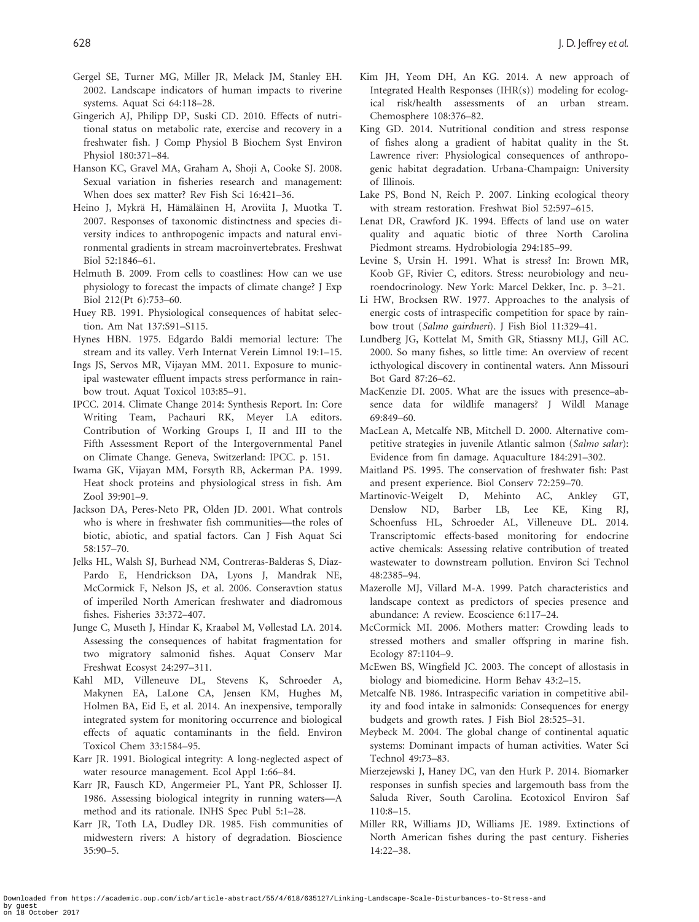- <span id="page-10-0"></span>Gergel SE, Turner MG, Miller JR, Melack JM, Stanley EH. 2002. Landscape indicators of human impacts to riverine systems. Aquat Sci 64:118–28.
- Gingerich AJ, Philipp DP, Suski CD. 2010. Effects of nutritional status on metabolic rate, exercise and recovery in a freshwater fish. J Comp Physiol B Biochem Syst Environ Physiol 180:371–84.
- Hanson KC, Gravel MA, Graham A, Shoji A, Cooke SJ. 2008. Sexual variation in fisheries research and management: When does sex matter? Rev Fish Sci 16:421–36.
- Heino J, Mykrä H, Hämäläinen H, Aroviita J, Muotka T. 2007. Responses of taxonomic distinctness and species diversity indices to anthropogenic impacts and natural environmental gradients in stream macroinvertebrates. Freshwat Biol 52:1846–61.
- Helmuth B. 2009. From cells to coastlines: How can we use physiology to forecast the impacts of climate change? J Exp Biol 212(Pt 6):753–60.
- Huey RB. 1991. Physiological consequences of habitat selection. Am Nat 137:S91–S115.
- Hynes HBN. 1975. Edgardo Baldi memorial lecture: The stream and its valley. Verh Internat Verein Limnol 19:1–15.
- Ings JS, Servos MR, Vijayan MM. 2011. Exposure to municipal wastewater effluent impacts stress performance in rainbow trout. Aquat Toxicol 103:85–91.
- IPCC. 2014. Climate Change 2014: Synthesis Report. In: Core Writing Team, Pachauri RK, Meyer LA editors. Contribution of Working Groups I, II and III to the Fifth Assessment Report of the Intergovernmental Panel on Climate Change. Geneva, Switzerland: IPCC. p. 151.
- Iwama GK, Vijayan MM, Forsyth RB, Ackerman PA. 1999. Heat shock proteins and physiological stress in fish. Am Zool 39:901–9.
- Jackson DA, Peres-Neto PR, Olden JD. 2001. What controls who is where in freshwater fish communities—the roles of biotic, abiotic, and spatial factors. Can J Fish Aquat Sci 58:157–70.
- Jelks HL, Walsh SJ, Burhead NM, Contreras-Balderas S, Diaz-Pardo E, Hendrickson DA, Lyons J, Mandrak NE, McCormick F, Nelson JS, et al. 2006. Conseravtion status of imperiled North American freshwater and diadromous fishes. Fisheries 33:372–407.
- Junge C, Museth J, Hindar K, Kraabøl M, Vøllestad LA. 2014. Assessing the consequences of habitat fragmentation for two migratory salmonid fishes. Aquat Conserv Mar Freshwat Ecosyst 24:297–311.
- Kahl MD, Villeneuve DL, Stevens K, Schroeder A, Makynen EA, LaLone CA, Jensen KM, Hughes M, Holmen BA, Eid E, et al. 2014. An inexpensive, temporally integrated system for monitoring occurrence and biological effects of aquatic contaminants in the field. Environ Toxicol Chem 33:1584–95.
- Karr JR. 1991. Biological integrity: A long-neglected aspect of water resource management. Ecol Appl 1:66–84.
- Karr JR, Fausch KD, Angermeier PL, Yant PR, Schlosser IJ. 1986. Assessing biological integrity in running watersmethod and its rationale. INHS Spec Publ 5:1–28.
- Karr JR, Toth LA, Dudley DR. 1985. Fish communities of midwestern rivers: A history of degradation. Bioscience 35:90–5.
- Kim JH, Yeom DH, An KG. 2014. A new approach of Integrated Health Responses (IHR(s)) modeling for ecological risk/health assessments of an urban stream. Chemosphere 108:376–82.
- King GD. 2014. Nutritional condition and stress response of fishes along a gradient of habitat quality in the St. Lawrence river: Physiological consequences of anthropogenic habitat degradation. Urbana-Champaign: University of Illinois.
- Lake PS, Bond N, Reich P. 2007. Linking ecological theory with stream restoration. Freshwat Biol 52:597–615.
- Lenat DR, Crawford JK. 1994. Effects of land use on water quality and aquatic biotic of three North Carolina Piedmont streams. Hydrobiologia 294:185–99.
- Levine S, Ursin H. 1991. What is stress? In: Brown MR, Koob GF, Rivier C, editors. Stress: neurobiology and neuroendocrinology. New York: Marcel Dekker, Inc. p. 3–21.
- Li HW, Brocksen RW. 1977. Approaches to the analysis of energic costs of intraspecific competition for space by rainbow trout (Salmo gairdneri). J Fish Biol 11:329–41.
- Lundberg JG, Kottelat M, Smith GR, Stiassny MLJ, Gill AC. 2000. So many fishes, so little time: An overview of recent icthyological discovery in continental waters. Ann Missouri Bot Gard 87:26–62.
- MacKenzie DI. 2005. What are the issues with presence–absence data for wildlife managers? J Wildl Manage 69:849–60.
- MacLean A, Metcalfe NB, Mitchell D. 2000. Alternative competitive strategies in juvenile Atlantic salmon (Salmo salar): Evidence from fin damage. Aquaculture 184:291–302.
- Maitland PS. 1995. The conservation of freshwater fish: Past and present experience. Biol Conserv 72:259–70.
- Martinovic-Weigelt D, Mehinto AC, Ankley GT, Denslow ND, Barber LB, Lee KE, King RJ, Schoenfuss HL, Schroeder AL, Villeneuve DL. 2014. Transcriptomic effects-based monitoring for endocrine active chemicals: Assessing relative contribution of treated wastewater to downstream pollution. Environ Sci Technol 48:2385–94.
- Mazerolle MJ, Villard M-A. 1999. Patch characteristics and landscape context as predictors of species presence and abundance: A review. Ecoscience 6:117–24.
- McCormick MI. 2006. Mothers matter: Crowding leads to stressed mothers and smaller offspring in marine fish. Ecology 87:1104–9.
- McEwen BS, Wingfield JC. 2003. The concept of allostasis in biology and biomedicine. Horm Behav 43:2–15.
- Metcalfe NB. 1986. Intraspecific variation in competitive ability and food intake in salmonids: Consequences for energy budgets and growth rates. J Fish Biol 28:525–31.
- Meybeck M. 2004. The global change of continental aquatic systems: Dominant impacts of human activities. Water Sci Technol 49:73–83.
- Mierzejewski J, Haney DC, van den Hurk P. 2014. Biomarker responses in sunfish species and largemouth bass from the Saluda River, South Carolina. Ecotoxicol Environ Saf 110:8–15.
- Miller RR, Williams JD, Williams JE. 1989. Extinctions of North American fishes during the past century. Fisheries 14:22–38.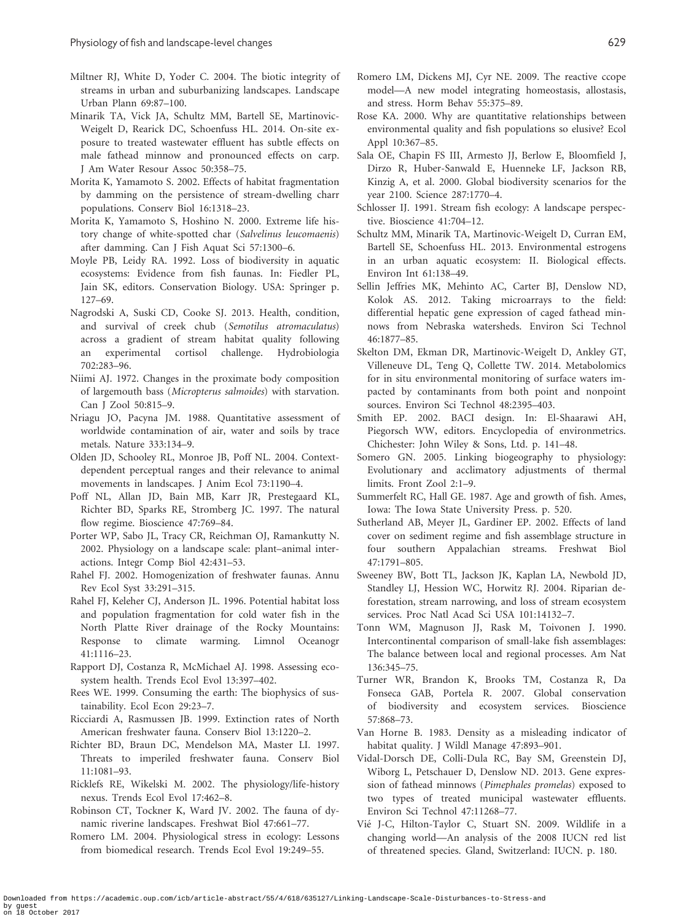- <span id="page-11-0"></span>Miltner RJ, White D, Yoder C. 2004. The biotic integrity of streams in urban and suburbanizing landscapes. Landscape Urban Plann 69:87–100.
- Minarik TA, Vick JA, Schultz MM, Bartell SE, Martinovic-Weigelt D, Rearick DC, Schoenfuss HL. 2014. On-site exposure to treated wastewater effluent has subtle effects on male fathead minnow and pronounced effects on carp. J Am Water Resour Assoc 50:358–75.
- Morita K, Yamamoto S. 2002. Effects of habitat fragmentation by damming on the persistence of stream-dwelling charr populations. Conserv Biol 16:1318–23.
- Morita K, Yamamoto S, Hoshino N. 2000. Extreme life history change of white-spotted char (Salvelinus leucomaenis) after damming. Can J Fish Aquat Sci 57:1300–6.
- Moyle PB, Leidy RA. 1992. Loss of biodiversity in aquatic ecosystems: Evidence from fish faunas. In: Fiedler PL, Jain SK, editors. Conservation Biology. USA: Springer p. 127–69.
- Nagrodski A, Suski CD, Cooke SJ. 2013. Health, condition, and survival of creek chub (Semotilus atromaculatus) across a gradient of stream habitat quality following an experimental cortisol challenge. Hydrobiologia 702:283–96.
- Niimi AJ. 1972. Changes in the proximate body composition of largemouth bass (Micropterus salmoides) with starvation. Can J Zool 50:815–9.
- Nriagu JO, Pacyna JM. 1988. Quantitative assessment of worldwide contamination of air, water and soils by trace metals. Nature 333:134–9.
- Olden JD, Schooley RL, Monroe JB, Poff NL. 2004. Contextdependent perceptual ranges and their relevance to animal movements in landscapes. J Anim Ecol 73:1190–4.
- Poff NL, Allan JD, Bain MB, Karr JR, Prestegaard KL, Richter BD, Sparks RE, Stromberg JC. 1997. The natural flow regime. Bioscience 47:769–84.
- Porter WP, Sabo JL, Tracy CR, Reichman OJ, Ramankutty N. 2002. Physiology on a landscape scale: plant–animal interactions. Integr Comp Biol 42:431–53.
- Rahel FJ. 2002. Homogenization of freshwater faunas. Annu Rev Ecol Syst 33:291–315.
- Rahel FJ, Keleher CJ, Anderson JL. 1996. Potential habitat loss and population fragmentation for cold water fish in the North Platte River drainage of the Rocky Mountains: Response to climate warming. Limnol Oceanogr 41:1116–23.
- Rapport DJ, Costanza R, McMichael AJ. 1998. Assessing ecosystem health. Trends Ecol Evol 13:397–402.
- Rees WE. 1999. Consuming the earth: The biophysics of sustainability. Ecol Econ 29:23–7.
- Ricciardi A, Rasmussen JB. 1999. Extinction rates of North American freshwater fauna. Conserv Biol 13:1220–2.
- Richter BD, Braun DC, Mendelson MA, Master LI. 1997. Threats to imperiled freshwater fauna. Conserv Biol 11:1081–93.
- Ricklefs RE, Wikelski M. 2002. The physiology/life-history nexus. Trends Ecol Evol 17:462–8.
- Robinson CT, Tockner K, Ward JV. 2002. The fauna of dynamic riverine landscapes. Freshwat Biol 47:661–77.
- Romero LM. 2004. Physiological stress in ecology: Lessons from biomedical research. Trends Ecol Evol 19:249–55.
- Romero LM, Dickens MJ, Cyr NE. 2009. The reactive ccope model—A new model integrating homeostasis, allostasis, and stress. Horm Behav 55:375–89.
- Rose KA. 2000. Why are quantitative relationships between environmental quality and fish populations so elusive? Ecol Appl 10:367–85.
- Sala OE, Chapin FS III, Armesto JJ, Berlow E, Bloomfield J, Dirzo R, Huber-Sanwald E, Huenneke LF, Jackson RB, Kinzig A, et al. 2000. Global biodiversity scenarios for the year 2100. Science 287:1770–4.
- Schlosser IJ. 1991. Stream fish ecology: A landscape perspective. Bioscience 41:704–12.
- Schultz MM, Minarik TA, Martinovic-Weigelt D, Curran EM, Bartell SE, Schoenfuss HL. 2013. Environmental estrogens in an urban aquatic ecosystem: II. Biological effects. Environ Int 61:138–49.
- Sellin Jeffries MK, Mehinto AC, Carter BJ, Denslow ND, Kolok AS. 2012. Taking microarrays to the field: differential hepatic gene expression of caged fathead minnows from Nebraska watersheds. Environ Sci Technol 46:1877–85.
- Skelton DM, Ekman DR, Martinovic-Weigelt D, Ankley GT, Villeneuve DL, Teng Q, Collette TW. 2014. Metabolomics for in situ environmental monitoring of surface waters impacted by contaminants from both point and nonpoint sources. Environ Sci Technol 48:2395–403.
- Smith EP. 2002. BACI design. In: El-Shaarawi AH, Piegorsch WW, editors. Encyclopedia of environmetrics. Chichester: John Wiley & Sons, Ltd. p. 141–48.
- Somero GN. 2005. Linking biogeography to physiology: Evolutionary and acclimatory adjustments of thermal limits. Front Zool 2:1–9.
- Summerfelt RC, Hall GE. 1987. Age and growth of fish. Ames, Iowa: The Iowa State University Press. p. 520.
- Sutherland AB, Meyer JL, Gardiner EP. 2002. Effects of land cover on sediment regime and fish assemblage structure in four southern Appalachian streams. Freshwat Biol 47:1791–805.
- Sweeney BW, Bott TL, Jackson JK, Kaplan LA, Newbold JD, Standley LJ, Hession WC, Horwitz RJ. 2004. Riparian deforestation, stream narrowing, and loss of stream ecosystem services. Proc Natl Acad Sci USA 101:14132–7.
- Tonn WM, Magnuson JJ, Rask M, Toivonen J. 1990. Intercontinental comparison of small-lake fish assemblages: The balance between local and regional processes. Am Nat 136:345–75.
- Turner WR, Brandon K, Brooks TM, Costanza R, Da Fonseca GAB, Portela R. 2007. Global conservation of biodiversity and ecosystem services. Bioscience 57:868–73.
- Van Horne B. 1983. Density as a misleading indicator of habitat quality. J Wildl Manage 47:893–901.
- Vidal-Dorsch DE, Colli-Dula RC, Bay SM, Greenstein DJ, Wiborg L, Petschauer D, Denslow ND. 2013. Gene expression of fathead minnows (Pimephales promelas) exposed to two types of treated municipal wastewater effluents. Environ Sci Technol 47:11268–77.
- Vié J-C, Hilton-Taylor C, Stuart SN. 2009. Wildlife in a changing world—An analysis of the 2008 IUCN red list of threatened species. Gland, Switzerland: IUCN. p. 180.